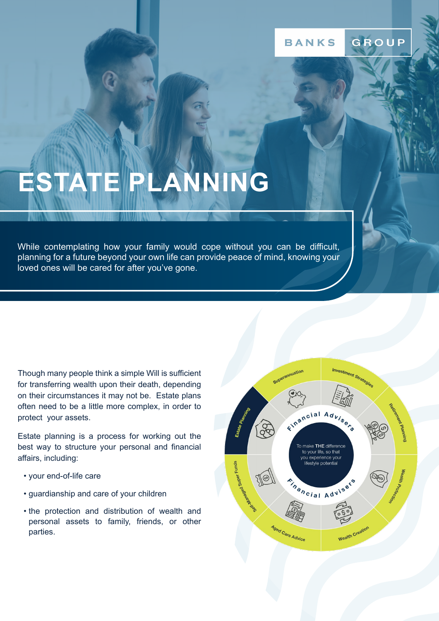# **ESTATE PLANNING**

While contemplating how your family would cope without you can be difficult, planning for a future beyond your own life can provide peace of mind, knowing your loved ones will be cared for after you've gone.

Though many people think a simple Will is sufficient for transferring wealth upon their death, depending on their circumstances it may not be. Estate plans often need to be a little more complex, in order to protect your assets.

Estate planning is a process for working out the best way to structure your personal and financial affairs, including:

- your end-of-life care
- guardianship and care of your children
- the protection and distribution of wealth and personal assets to family, friends, or other parties.

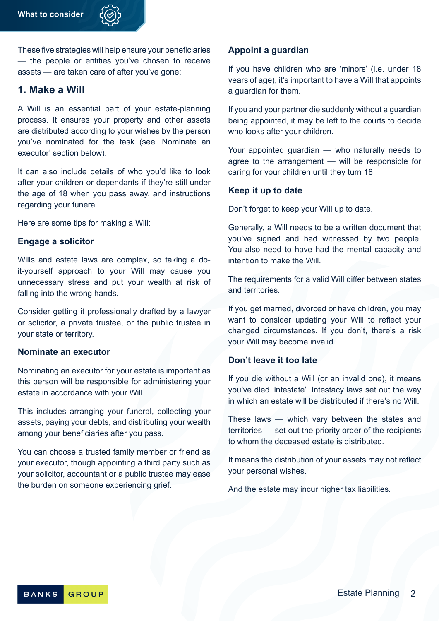

These five strategies will help ensure your beneficiaries — the people or entities you've chosen to receive assets — are taken care of after you've gone:

# **1. Make a Will**

A Will is an essential part of your estate-planning process. It ensures your property and other assets are distributed according to your wishes by the person you've nominated for the task (see 'Nominate an executor' section below).

It can also include details of who you'd like to look after your children or dependants if they're still under the age of 18 when you pass away, and instructions regarding your funeral.

Here are some tips for making a Will:

### **Engage a solicitor**

Wills and estate laws are complex, so taking a doit-yourself approach to your Will may cause you unnecessary stress and put your wealth at risk of falling into the wrong hands.

Consider getting it professionally drafted by a lawyer or solicitor, a private trustee, or the public trustee in your state or territory.

### **Nominate an executor**

Nominating an executor for your estate is important as this person will be responsible for administering your estate in accordance with your Will.

This includes arranging your funeral, collecting your assets, paying your debts, and distributing your wealth among your beneficiaries after you pass.

You can choose a trusted family member or friend as your executor, though appointing a third party such as your solicitor, accountant or a public trustee may ease the burden on someone experiencing grief.

### **Appoint a guardian**

If you have children who are 'minors' (i.e. under 18 years of age), it's important to have a Will that appoints a guardian for them.

If you and your partner die suddenly without a guardian being appointed, it may be left to the courts to decide who looks after your children.

Your appointed guardian — who naturally needs to agree to the arrangement — will be responsible for caring for your children until they turn 18.

### **Keep it up to date**

Don't forget to keep your Will up to date.

Generally, a Will needs to be a written document that you've signed and had witnessed by two people. You also need to have had the mental capacity and intention to make the Will.

The requirements for a valid Will differ between states and territories.

If you get married, divorced or have children, you may want to consider updating your Will to reflect your changed circumstances. If you don't, there's a risk your Will may become invalid.

### **Don't leave it too late**

If you die without a Will (or an invalid one), it means you've died 'intestate'. Intestacy laws set out the way in which an estate will be distributed if there's no Will.

These laws — which vary between the states and territories — set out the priority order of the recipients to whom the deceased estate is distributed.

It means the distribution of your assets may not reflect your personal wishes.

And the estate may incur higher tax liabilities.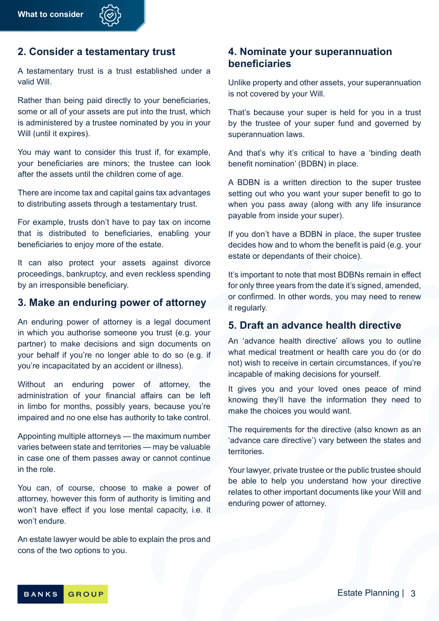# **2. Consider a testamentary trust**

A testamentary trust is a trust established under a valid Will.

Rather than being paid directly to your beneficiaries, some or all of your assets are put into the trust, which is administered by a trustee nominated by you in your Will (until it expires).

You may want to consider this trust if, for example, your beneficiaries are minors; the trustee can look after the assets until the children come of age.

There are income tax and capital gains tax advantages to distributing assets through a testamentary trust.

For example, trusts don't have to pay tax on income that is distributed to beneficiaries, enabling your beneficiaries to enjoy more of the estate.

It can also protect your assets against divorce proceedings, bankruptcy, and even reckless spending by an irresponsible beneficiary.

# **3. Make an enduring power of attorney**

An enduring power of attorney is a legal document in which you authorise someone you trust (e.g. your partner) to make decisions and sign documents on your behalf if you're no longer able to do so (e.g. if you're incapacitated by an accident or illness).

Without an enduring power of attorney, the administration of your financial affairs can be left in limbo for months, possibly years, because you're impaired and no one else has authority to take control.

Appointing multiple attorneys — the maximum number varies between state and territories — may be valuable in case one of them passes away or cannot continue in the role.

You can, of course, choose to make a power of attorney, however this form of authority is limiting and won't have effect if you lose mental capacity, i.e. it won't endure.

An estate lawyer would be able to explain the pros and cons of the two options to you.

# **4. Nominate your superannuation beneficiaries**

Unlike property and other assets, your superannuation is not covered by your Will.

That's because your super is held for you in a trust by the trustee of your super fund and governed by superannuation laws.

And that's why it's critical to have a 'binding death benefit nomination' (BDBN) in place.

A BDBN is a written direction to the super trustee setting out who you want your super benefit to go to when you pass away (along with any life insurance payable from inside your super).

If you don't have a BDBN in place, the super trustee decides how and to whom the benefit is paid (e.g. your estate or dependants of their choice).

It's important to note that most BDBNs remain in effect for only three years from the date it's signed, amended, or confirmed. In other words, you may need to renew it regularly.

# **5. Draft an advance health directive**

An 'advance health directive' allows you to outline what medical treatment or health care you do (or do not) wish to receive in certain circumstances, if you're incapable of making decisions for yourself.

It gives you and your loved ones peace of mind knowing they'll have the information they need to make the choices you would want.

The requirements for the directive (also known as an 'advance care directive') vary between the states and **territories** 

Your lawyer, private trustee or the public trustee should be able to help you understand how your directive relates to other important documents like your Will and enduring power of attorney.